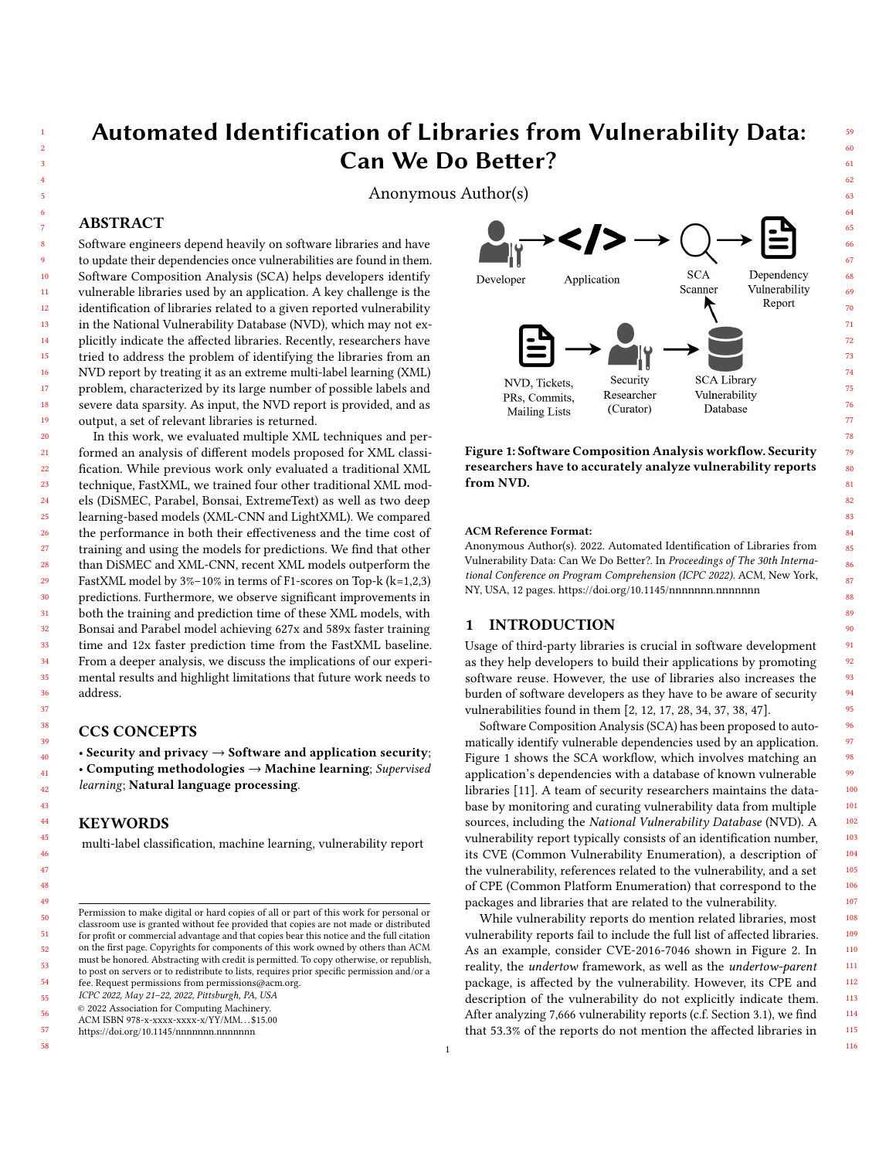# Automated Identification of Libraries from Vulnerability Data: Can We Do Better?

Anonymous Author(s)

### ABSTRACT

Software engineers depend heavily on software libraries and have to update their dependencies once vulnerabilities are found in them. Software Composition Analysis (SCA) helps developers identify vulnerable libraries used by an application. A key challenge is the identification of libraries related to a given reported vulnerability in the National Vulnerability Database (NVD), which may not explicitly indicate the affected libraries. Recently, researchers have tried to address the problem of identifying the libraries from an NVD report by treating it as an extreme multi-label learning (XML) problem, characterized by its large number of possible labels and severe data sparsity. As input, the NVD report is provided, and as output, a set of relevant libraries is returned.

In this work, we evaluated multiple XML techniques and performed an analysis of different models proposed for XML classification. While previous work only evaluated a traditional XML technique, FastXML, we trained four other traditional XML models (DiSMEC, Parabel, Bonsai, ExtremeText) as well as two deep learning-based models (XML-CNN and LightXML). We compared the performance in both their effectiveness and the time cost of training and using the models for predictions. We find that other than DiSMEC and XML-CNN, recent XML models outperform the FastXML model by 3%–10% in terms of F1-scores on Top-k (k=1,2,3) predictions. Furthermore, we observe significant improvements in both the training and prediction time of these XML models, with Bonsai and Parabel model achieving 627x and 589x faster training time and 12x faster prediction time from the FastXML baseline. From a deeper analysis, we discuss the implications of our experimental results and highlight limitations that future work needs to address.

# CCS CONCEPTS

• Security and privacy  $\rightarrow$  Software and application security; • Computing methodologies → Machine learning; Supervised learning; Natural language processing.

# **KEYWORDS**

multi-label classification, machine learning, vulnerability report

fee. Request permissions from permissions@acm.org.

ICPC 2022, May 21–22, 2022, Pittsburgh, PA, USA

© 2022 Association for Computing Machinery.

57 58 <https://doi.org/10.1145/nnnnnnn.nnnnnnn>

<span id="page-0-0"></span>

Figure 1: Software Composition Analysis workflow. Security researchers have to accurately analyze vulnerability reports from NVD.

#### ACM Reference Format:

Anonymous Author(s). 2022. Automated Identification of Libraries from Vulnerability Data: Can We Do Better?. In Proceedings of The 30th International Conference on Program Comprehension (ICPC 2022). ACM, New York, NY, USA, [12](#page-11-0) pages.<https://doi.org/10.1145/nnnnnnn.nnnnnnn>

# 1 INTRODUCTION

Usage of third-party libraries is crucial in software development as they help developers to build their applications by promoting software reuse. However, the use of libraries also increases the burden of software developers as they have to be aware of security vulnerabilities found in them [\[2,](#page-10-0) [12,](#page-10-1) [17,](#page-10-2) [28,](#page-10-3) [34,](#page-10-4) [37,](#page-10-5) [38,](#page-10-6) [47\]](#page-11-1).

Software Composition Analysis (SCA) has been proposed to automatically identify vulnerable dependencies used by an application. Figure [1](#page-0-0) shows the SCA workflow, which involves matching an application's dependencies with a database of known vulnerable libraries [\[11\]](#page-10-7). A team of security researchers maintains the database by monitoring and curating vulnerability data from multiple sources, including the National Vulnerability Database (NVD). A vulnerability report typically consists of an identification number, its CVE (Common Vulnerability Enumeration), a description of the vulnerability, references related to the vulnerability, and a set of CPE (Common Platform Enumeration) that correspond to the packages and libraries that are related to the vulnerability.

While vulnerability reports do mention related libraries, most vulnerability reports fail to include the full list of affected libraries. As an example, consider CVE-2016-7046 shown in Figure [2.](#page-1-0) In reality, the undertow framework, as well as the undertow-parent package, is affected by the vulnerability. However, its CPE and description of the vulnerability do not explicitly indicate them. After analyzing 7,666 vulnerability reports (c.f. Section [3.1\)](#page-3-0), we find that 53.3% of the reports do not mention the affected libraries in

115 116

Permission to make digital or hard copies of all or part of this work for personal or classroom use is granted without fee provided that copies are not made or distributed for profit or commercial advantage and that copies bear this notice and the full citation on the first page. Copyrights for components of this work owned by others than ACM must be honored. Abstracting with credit is permitted. To copy otherwise, or republish, to post on servers or to redistribute to lists, requires prior specific permission and/or a

ACM ISBN 978-x-xxxx-xxxx-x/YY/MM. . . \$15.00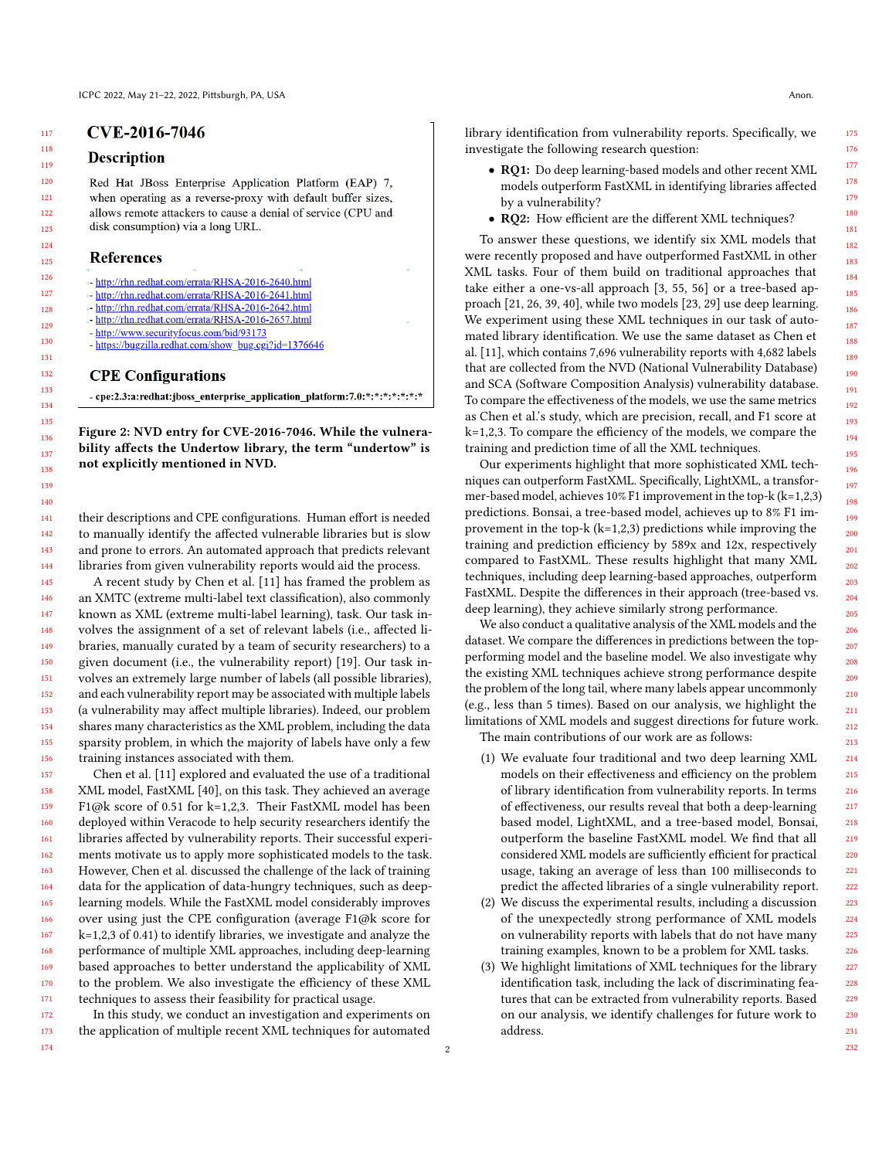174

# <span id="page-1-0"></span>**Description**

Red Hat JBoss Enterprise Application Platform (EAP) 7, when operating as a reverse-proxy with default buffer sizes, allows remote attackers to cause a denial of service (CPU and disk consumption) via a long URL.

# **References**

- \*- http://rhn.redhat.com/errata/RHSA-2016-2640.html
- \*- http://rhn.redhat.com/errata/RHSA-2016-2641.html
- http://rhn.redhat.com/errata/RHSA-2016-2642.html
- http://rhn.redhat.com/errata/RHSA-2016-2657.html
- http://www.securityfocus.com/bid/93173
- https://bugzilla.redhat.com/show\_bug.cgi?id=1376646

# **CPE Configurations**

- cpe:2.3:a:redhat:jboss\_enterprise\_application\_platform:7.0:\*:\*:\*:\*:\*:\*:\*:\*

Figure 2: NVD entry for CVE-2016-7046. While the vulnerability affects the Undertow library, the term "undertow" is not explicitly mentioned in NVD.

their descriptions and CPE configurations. Human effort is needed to manually identify the affected vulnerable libraries but is slow and prone to errors. An automated approach that predicts relevant libraries from given vulnerability reports would aid the process.

A recent study by Chen et al. [\[11\]](#page-10-7) has framed the problem as an XMTC (extreme multi-label text classification), also commonly known as XML (extreme multi-label learning), task. Our task involves the assignment of a set of relevant labels (i.e., affected libraries, manually curated by a team of security researchers) to a given document (i.e., the vulnerability report) [\[19\]](#page-10-8). Our task involves an extremely large number of labels (all possible libraries), and each vulnerability report may be associated with multiple labels (a vulnerability may affect multiple libraries). Indeed, our problem shares many characteristics as the XML problem, including the data sparsity problem, in which the majority of labels have only a few training instances associated with them.

157 158 159 160 161 162 163 164 165 166 167 168 169 170 171 Chen et al. [\[11\]](#page-10-7) explored and evaluated the use of a traditional XML model, FastXML [\[40\]](#page-11-2), on this task. They achieved an average F1@k score of 0.51 for k=1,2,3. Their FastXML model has been deployed within Veracode to help security researchers identify the libraries affected by vulnerability reports. Their successful experiments motivate us to apply more sophisticated models to the task. However, Chen et al. discussed the challenge of the lack of training data for the application of data-hungry techniques, such as deeplearning models. While the FastXML model considerably improves over using just the CPE configuration (average F1@k score for k=1,2,3 of 0.41) to identify libraries, we investigate and analyze the performance of multiple XML approaches, including deep-learning based approaches to better understand the applicability of XML to the problem. We also investigate the efficiency of these XML techniques to assess their feasibility for practical usage.

172 173 In this study, we conduct an investigation and experiments on the application of multiple recent XML techniques for automated library identification from vulnerability reports. Specifically, we investigate the following research question:

- RQ1: Do deep learning-based models and other recent XML models outperform FastXML in identifying libraries affected by a vulnerability?
- RQ2: How efficient are the different XML techniques?

To answer these questions, we identify six XML models that were recently proposed and have outperformed FastXML in other XML tasks. Four of them build on traditional approaches that take either a one-vs-all approach [\[3,](#page-10-9) [55,](#page-11-3) [56\]](#page-11-4) or a tree-based approach [\[21,](#page-10-10) [26,](#page-10-11) [39,](#page-10-12) [40\]](#page-11-2), while two models [\[23,](#page-10-13) [29\]](#page-10-14) use deep learning. We experiment using these XML techniques in our task of automated library identification. We use the same dataset as Chen et al. [\[11\]](#page-10-7), which contains 7,696 vulnerability reports with 4,682 labels that are collected from the NVD (National Vulnerability Database) and SCA (Software Composition Analysis) vulnerability database. To compare the effectiveness of the models, we use the same metrics as Chen et al.'s study, which are precision, recall, and F1 score at k=1,2,3. To compare the efficiency of the models, we compare the training and prediction time of all the XML techniques.

Our experiments highlight that more sophisticated XML techniques can outperform FastXML. Specifically, LightXML, a transformer-based model, achieves 10% F1 improvement in the top-k (k=1,2,3) predictions. Bonsai, a tree-based model, achieves up to 8% F1 improvement in the top-k  $(k=1,2,3)$  predictions while improving the training and prediction efficiency by 589x and 12x, respectively compared to FastXML. These results highlight that many XML techniques, including deep learning-based approaches, outperform FastXML. Despite the differences in their approach (tree-based vs. deep learning), they achieve similarly strong performance.

We also conduct a qualitative analysis of the XML models and the dataset. We compare the differences in predictions between the topperforming model and the baseline model. We also investigate why the existing XML techniques achieve strong performance despite the problem of the long tail, where many labels appear uncommonly (e.g., less than 5 times). Based on our analysis, we highlight the limitations of XML models and suggest directions for future work. The main contributions of our work are as follows:

- (1) We evaluate four traditional and two deep learning XML models on their effectiveness and efficiency on the problem of library identification from vulnerability reports. In terms of effectiveness, our results reveal that both a deep-learning based model, LightXML, and a tree-based model, Bonsai, outperform the baseline FastXML model. We find that all considered XML models are sufficiently efficient for practical usage, taking an average of less than 100 milliseconds to predict the affected libraries of a single vulnerability report.
- (2) We discuss the experimental results, including a discussion of the unexpectedly strong performance of XML models on vulnerability reports with labels that do not have many training examples, known to be a problem for XML tasks.
- (3) We highlight limitations of XML techniques for the library identification task, including the lack of discriminating features that can be extracted from vulnerability reports. Based on our analysis, we identify challenges for future work to address.

175 176 177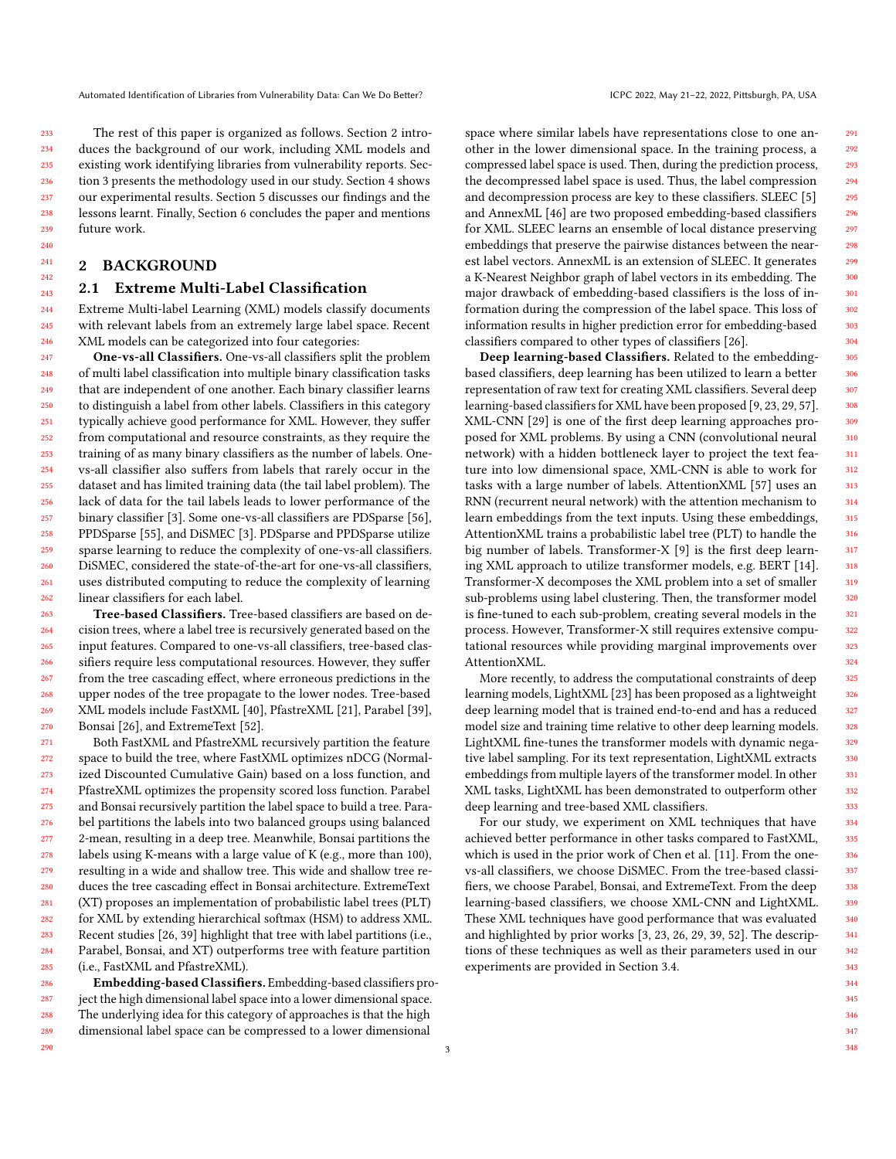The rest of this paper is organized as follows. Section [2](#page-2-0) introduces the background of our work, including XML models and existing work identifying libraries from vulnerability reports. Section [3](#page-3-1) presents the methodology used in our study. Section [4](#page-6-0) shows our experimental results. Section [5](#page-7-0) discusses our findings and the lessons learnt. Finally, Section [6](#page-9-0) concludes the paper and mentions future work.

# <span id="page-2-0"></span>2 BACKGROUND

290

# <span id="page-2-1"></span>2.1 Extreme Multi-Label Classification

Extreme Multi-label Learning (XML) models classify documents with relevant labels from an extremely large label space. Recent XML models can be categorized into four categories:

247 248 249 250 251 252 253 254 255 256 257 258 259 260 261 262 One-vs-all Classifiers. One-vs-all classifiers split the problem of multi label classification into multiple binary classification tasks that are independent of one another. Each binary classifier learns to distinguish a label from other labels. Classifiers in this category typically achieve good performance for XML. However, they suffer from computational and resource constraints, as they require the training of as many binary classifiers as the number of labels. Onevs-all classifier also suffers from labels that rarely occur in the dataset and has limited training data (the tail label problem). The lack of data for the tail labels leads to lower performance of the binary classifier [\[3\]](#page-10-9). Some one-vs-all classifiers are PDSparse [\[56\]](#page-11-4), PPDSparse [\[55\]](#page-11-3), and DiSMEC [\[3\]](#page-10-9). PDSparse and PPDSparse utilize sparse learning to reduce the complexity of one-vs-all classifiers. DiSMEC, considered the state-of-the-art for one-vs-all classifiers, uses distributed computing to reduce the complexity of learning linear classifiers for each label.

263 264 265 266 267 268 269 270 Tree-based Classifiers. Tree-based classifiers are based on decision trees, where a label tree is recursively generated based on the input features. Compared to one-vs-all classifiers, tree-based classifiers require less computational resources. However, they suffer from the tree cascading effect, where erroneous predictions in the upper nodes of the tree propagate to the lower nodes. Tree-based XML models include FastXML [\[40\]](#page-11-2), PfastreXML [\[21\]](#page-10-10), Parabel [\[39\]](#page-10-12), Bonsai [\[26\]](#page-10-11), and ExtremeText [\[52\]](#page-11-5).

271 272 273 274 275 276 277 278 279 280 281 282 283 284 285 Both FastXML and PfastreXML recursively partition the feature space to build the tree, where FastXML optimizes nDCG (Normalized Discounted Cumulative Gain) based on a loss function, and PfastreXML optimizes the propensity scored loss function. Parabel and Bonsai recursively partition the label space to build a tree. Parabel partitions the labels into two balanced groups using balanced 2-mean, resulting in a deep tree. Meanwhile, Bonsai partitions the labels using K-means with a large value of K (e.g., more than 100), resulting in a wide and shallow tree. This wide and shallow tree reduces the tree cascading effect in Bonsai architecture. ExtremeText (XT) proposes an implementation of probabilistic label trees (PLT) for XML by extending hierarchical softmax (HSM) to address XML. Recent studies [\[26,](#page-10-11) [39\]](#page-10-12) highlight that tree with label partitions (i.e., Parabel, Bonsai, and XT) outperforms tree with feature partition (i.e., FastXML and PfastreXML).

286 287 288 289 Embedding-based Classifiers. Embedding-based classifiers project the high dimensional label space into a lower dimensional space. The underlying idea for this category of approaches is that the high dimensional label space can be compressed to a lower dimensional

space where similar labels have representations close to one another in the lower dimensional space. In the training process, a compressed label space is used. Then, during the prediction process, the decompressed label space is used. Thus, the label compression and decompression process are key to these classifiers. SLEEC [\[5\]](#page-10-15) and AnnexML [\[46\]](#page-11-6) are two proposed embedding-based classifiers for XML. SLEEC learns an ensemble of local distance preserving embeddings that preserve the pairwise distances between the nearest label vectors. AnnexML is an extension of SLEEC. It generates a K-Nearest Neighbor graph of label vectors in its embedding. The major drawback of embedding-based classifiers is the loss of information during the compression of the label space. This loss of information results in higher prediction error for embedding-based classifiers compared to other types of classifiers [\[26\]](#page-10-11).

Deep learning-based Classifiers. Related to the embeddingbased classifiers, deep learning has been utilized to learn a better representation of raw text for creating XML classifiers. Several deep learning-based classifiers for XML have been proposed [\[9,](#page-10-16) [23,](#page-10-13) [29,](#page-10-14) [57\]](#page-11-7). XML-CNN [\[29\]](#page-10-14) is one of the first deep learning approaches proposed for XML problems. By using a CNN (convolutional neural network) with a hidden bottleneck layer to project the text feature into low dimensional space, XML-CNN is able to work for tasks with a large number of labels. AttentionXML [\[57\]](#page-11-7) uses an RNN (recurrent neural network) with the attention mechanism to learn embeddings from the text inputs. Using these embeddings, AttentionXML trains a probabilistic label tree (PLT) to handle the big number of labels. Transformer-X [\[9\]](#page-10-16) is the first deep learning XML approach to utilize transformer models, e.g. BERT [\[14\]](#page-10-17). Transformer-X decomposes the XML problem into a set of smaller sub-problems using label clustering. Then, the transformer model is fine-tuned to each sub-problem, creating several models in the process. However, Transformer-X still requires extensive computational resources while providing marginal improvements over AttentionXML.

More recently, to address the computational constraints of deep learning models, LightXML [\[23\]](#page-10-13) has been proposed as a lightweight deep learning model that is trained end-to-end and has a reduced model size and training time relative to other deep learning models. LightXML fine-tunes the transformer models with dynamic negative label sampling. For its text representation, LightXML extracts embeddings from multiple layers of the transformer model. In other XML tasks, LightXML has been demonstrated to outperform other deep learning and tree-based XML classifiers.

For our study, we experiment on XML techniques that have achieved better performance in other tasks compared to FastXML, which is used in the prior work of Chen et al. [\[11\]](#page-10-7). From the onevs-all classifiers, we choose DiSMEC. From the tree-based classifiers, we choose Parabel, Bonsai, and ExtremeText. From the deep learning-based classifiers, we choose XML-CNN and LightXML. These XML techniques have good performance that was evaluated and highlighted by prior works [\[3,](#page-10-9) [23,](#page-10-13) [26,](#page-10-11) [29,](#page-10-14) [39,](#page-10-12) [52\]](#page-11-5). The descriptions of these techniques as well as their parameters used in our experiments are provided in Section [3.4.](#page-4-0)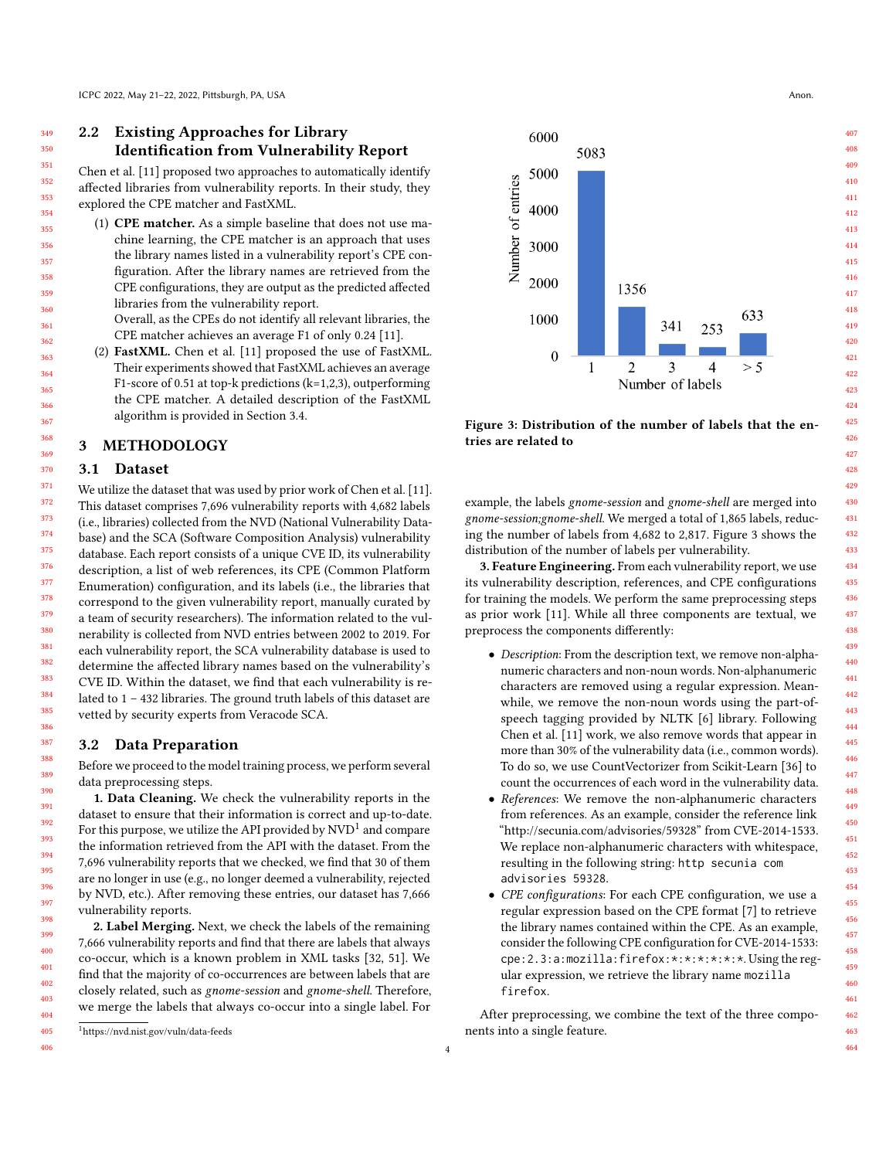# <span id="page-3-5"></span>2.2 Existing Approaches for Library Identification from Vulnerability Report

Chen et al. [\[11\]](#page-10-7) proposed two approaches to automatically identify affected libraries from vulnerability reports. In their study, they explored the CPE matcher and FastXML.

- (1) CPE matcher. As a simple baseline that does not use machine learning, the CPE matcher is an approach that uses the library names listed in a vulnerability report's CPE configuration. After the library names are retrieved from the CPE configurations, they are output as the predicted affected libraries from the vulnerability report.
	- Overall, as the CPEs do not identify all relevant libraries, the CPE matcher achieves an average F1 of only 0.24 [\[11\]](#page-10-7).
- (2) FastXML. Chen et al. [\[11\]](#page-10-7) proposed the use of FastXML. Their experiments showed that FastXML achieves an average F1-score of 0.51 at top-k predictions (k=1,2,3), outperforming the CPE matcher. A detailed description of the FastXML algorithm is provided in Section [3.4.](#page-4-0)

# <span id="page-3-1"></span>3 METHODOLOGY

### <span id="page-3-0"></span>3.1 Dataset

We utilize the dataset that was used by prior work of Chen et al. [\[11\]](#page-10-7). This dataset comprises 7,696 vulnerability reports with 4,682 labels (i.e., libraries) collected from the NVD (National Vulnerability Database) and the SCA (Software Composition Analysis) vulnerability database. Each report consists of a unique CVE ID, its vulnerability description, a list of web references, its CPE (Common Platform Enumeration) configuration, and its labels (i.e., the libraries that correspond to the given vulnerability report, manually curated by a team of security researchers). The information related to the vulnerability is collected from NVD entries between 2002 to 2019. For each vulnerability report, the SCA vulnerability database is used to determine the affected library names based on the vulnerability's CVE ID. Within the dataset, we find that each vulnerability is related to 1 – 432 libraries. The ground truth labels of this dataset are vetted by security experts from Veracode SCA.

### <span id="page-3-4"></span>3.2 Data Preparation

Before we proceed to the model training process, we perform several data preprocessing steps.

1. Data Cleaning. We check the vulnerability reports in the dataset to ensure that their information is correct and up-to-date. For this purpose, we utilize the API provided by  $\mathrm{NVD^1}$  $\mathrm{NVD^1}$  $\mathrm{NVD^1}$  and compare the information retrieved from the API with the dataset. From the 7,696 vulnerability reports that we checked, we find that 30 of them are no longer in use (e.g., no longer deemed a vulnerability, rejected by NVD, etc.). After removing these entries, our dataset has 7,666 vulnerability reports.

2. Label Merging. Next, we check the labels of the remaining 7,666 vulnerability reports and find that there are labels that always co-occur, which is a known problem in XML tasks [\[32,](#page-10-18) [51\]](#page-11-8). We find that the majority of co-occurrences are between labels that are closely related, such as gnome-session and gnome-shell. Therefore, we merge the labels that always co-occur into a single label. For

<span id="page-3-2"></span>

405 406

<span id="page-3-3"></span>

Figure 3: Distribution of the number of labels that the entries are related to

example, the labels gnome-session and gnome-shell are merged into gnome-session;gnome-shell. We merged a total of 1,865 labels, reducing the number of labels from 4,682 to 2,817. Figure [3](#page-3-3) shows the distribution of the number of labels per vulnerability.

3. Feature Engineering. From each vulnerability report, we use its vulnerability description, references, and CPE configurations for training the models. We perform the same preprocessing steps as prior work [\[11\]](#page-10-7). While all three components are textual, we preprocess the components differently:

- Description: From the description text, we remove non-alphanumeric characters and non-noun words. Non-alphanumeric characters are removed using a regular expression. Meanwhile, we remove the non-noun words using the part-ofspeech tagging provided by NLTK [\[6\]](#page-10-19) library. Following Chen et al. [\[11\]](#page-10-7) work, we also remove words that appear in more than 30% of the vulnerability data (i.e., common words). To do so, we use CountVectorizer from Scikit-Learn [\[36\]](#page-10-20) to count the occurrences of each word in the vulnerability data.
- References: We remove the non-alphanumeric characters from references. As an example, consider the reference link ["http://secunia.com/advisories/59328"](http://secunia.com/advisories/59328) from CVE-2014-1533. We replace non-alphanumeric characters with whitespace, resulting in the following string: http secunia com advisories 59328.
- CPE configurations: For each CPE configuration, we use a regular expression based on the CPE format [\[7\]](#page-10-21) to retrieve the library names contained within the CPE. As an example, consider the following CPE configuration for CVE-2014-1533: cpe:2.3:a:mozilla:firefox:\*:\*:\*:\*:\*:\*. Using the regular expression, we retrieve the library name mozilla firefox.

After preprocessing, we combine the text of the three components into a single feature.

4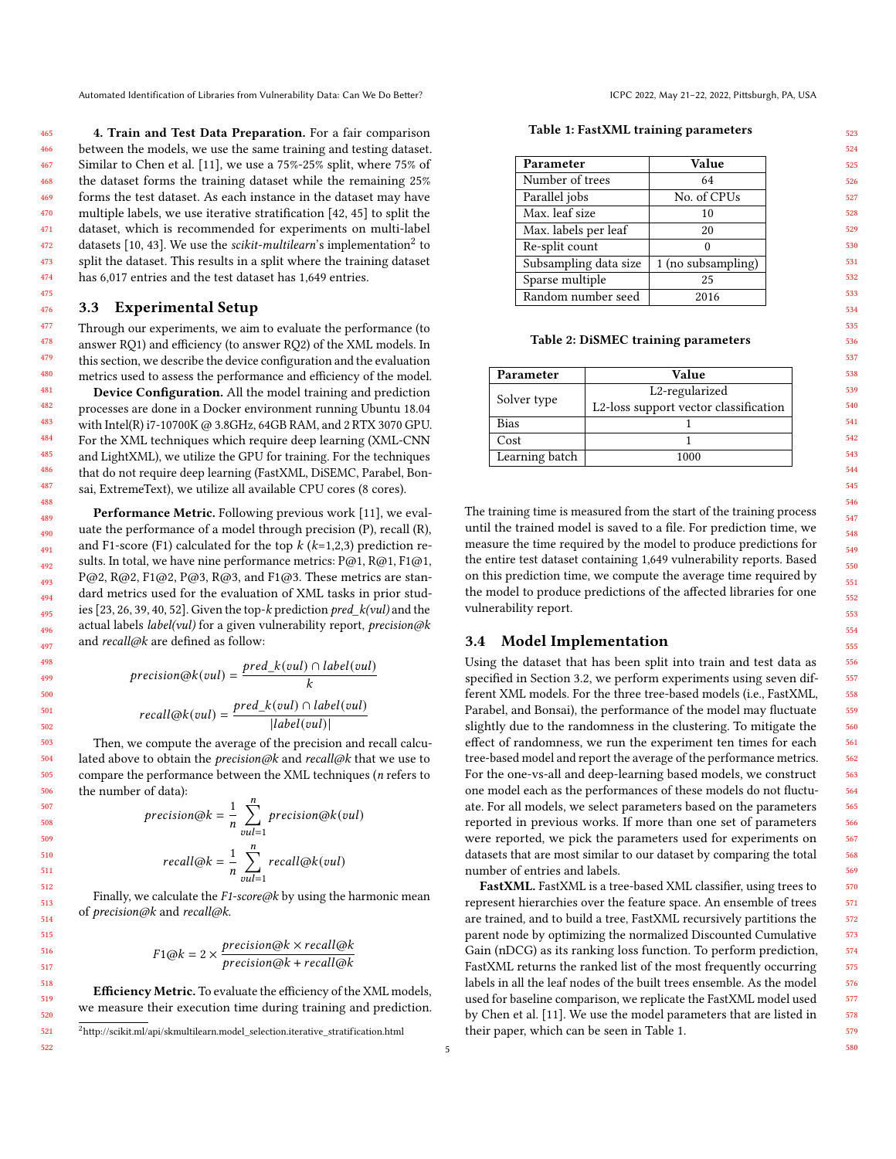4. Train and Test Data Preparation. For a fair comparison between the models, we use the same training and testing dataset. Similar to Chen et al. [\[11\]](#page-10-7), we use a 75%-25% split, where 75% of the dataset forms the training dataset while the remaining 25% forms the test dataset. As each instance in the dataset may have multiple labels, we use iterative stratification [\[42,](#page-11-9) [45\]](#page-11-10) to split the dataset, which is recommended for experiments on multi-label datasets [\[10,](#page-10-22) [43\]](#page-11-11). We use the scikit-multilearn's implementation<sup>[2](#page-4-1)</sup> to split the dataset. This results in a split where the training dataset has 6,017 entries and the test dataset has 1,649 entries.

### <span id="page-4-4"></span>3.3 Experimental Setup

Through our experiments, we aim to evaluate the performance (to answer RQ1) and efficiency (to answer RQ2) of the XML models. In this section, we describe the device configuration and the evaluation metrics used to assess the performance and efficiency of the model.

Device Configuration. All the model training and prediction processes are done in a Docker environment running Ubuntu 18.04 with Intel(R) i7-10700K @ 3.8GHz, 64GB RAM, and 2 RTX 3070 GPU. For the XML techniques which require deep learning (XML-CNN and LightXML), we utilize the GPU for training. For the techniques that do not require deep learning (FastXML, DiSEMC, Parabel, Bonsai, ExtremeText), we utilize all available CPU cores (8 cores).

Performance Metric. Following previous work [\[11\]](#page-10-7), we evaluate the performance of a model through precision (P), recall (R), and F1-score (F1) calculated for the top  $k$  ( $k=1,2,3$ ) prediction results. In total, we have nine performance metrics: P@1, R@1, F1@1, P@2, R@2, F1@2, P@3, R@3, and F1@3. These metrics are standard metrics used for the evaluation of XML tasks in prior studies [\[23,](#page-10-13) [26,](#page-10-11) [39,](#page-10-12) [40,](#page-11-2) [52\]](#page-11-5). Given the top-k prediction pred\_k(vul) and the actual labels *label(vul)* for a given vulnerability report, *precision@k* and recall@k are defined as follow:

$$
precision@k(vul) = \frac{pred\_k(vul) \cap label(vul)}{k}
$$

$$
recall@k(vul) = \frac{pred\_k(vul) \cap label(vul)}{|label(vul)|}
$$

Then, we compute the average of the precision and recall calculated above to obtain the *precision@k* and *recall@k* that we use to compare the performance between the XML techniques (n refers to the number of data):

$$
precision@k = \frac{1}{n} \sum_{vul=1}^{n} precision@k(vul)
$$

$$
recall@k = \frac{1}{n} \sum_{vul=1}^{n} recall@k(vul)
$$

Finally, we calculate the  $F1$ -score@k by using the harmonic mean of precision@k and recall@k.

$$
F1@k = 2 \times \frac{precision@k \times recall@k}{precision@k + recall@k}
$$

Efficiency Metric. To evaluate the efficiency of the XML models, we measure their execution time during training and prediction.

5

Table 1: FastXML training parameters

<span id="page-4-2"></span>

| Parameter             | Value              |  |  |  |  |
|-----------------------|--------------------|--|--|--|--|
| Number of trees       | 64                 |  |  |  |  |
| Parallel jobs         | No. of CPUs        |  |  |  |  |
| Max. leaf size        | 10                 |  |  |  |  |
| Max. labels per leaf  | 20                 |  |  |  |  |
| Re-split count        | 0                  |  |  |  |  |
| Subsampling data size | 1 (no subsampling) |  |  |  |  |
| Sparse multiple       | 25                 |  |  |  |  |
| Random number seed    | 2016               |  |  |  |  |

#### Table 2: DiSMEC training parameters

<span id="page-4-3"></span>

| Parameter      | Value                                 |  |  |  |  |
|----------------|---------------------------------------|--|--|--|--|
|                | L2-regularized                        |  |  |  |  |
| Solver type    | L2-loss support vector classification |  |  |  |  |
| <b>Bias</b>    |                                       |  |  |  |  |
| Cost           |                                       |  |  |  |  |
| Learning batch | 1000                                  |  |  |  |  |

The training time is measured from the start of the training process until the trained model is saved to a file. For prediction time, we measure the time required by the model to produce predictions for the entire test dataset containing 1,649 vulnerability reports. Based on this prediction time, we compute the average time required by the model to produce predictions of the affected libraries for one vulnerability report.

### <span id="page-4-0"></span>3.4 Model Implementation

Using the dataset that has been split into train and test data as specified in Section [3.2,](#page-3-4) we perform experiments using seven different XML models. For the three tree-based models (i.e., FastXML, Parabel, and Bonsai), the performance of the model may fluctuate slightly due to the randomness in the clustering. To mitigate the effect of randomness, we run the experiment ten times for each tree-based model and report the average of the performance metrics. For the one-vs-all and deep-learning based models, we construct one model each as the performances of these models do not fluctuate. For all models, we select parameters based on the parameters reported in previous works. If more than one set of parameters were reported, we pick the parameters used for experiments on datasets that are most similar to our dataset by comparing the total number of entries and labels.

FastXML. FastXML is a tree-based XML classifier, using trees to represent hierarchies over the feature space. An ensemble of trees are trained, and to build a tree, FastXML recursively partitions the parent node by optimizing the normalized Discounted Cumulative Gain (nDCG) as its ranking loss function. To perform prediction, FastXML returns the ranked list of the most frequently occurring labels in all the leaf nodes of the built trees ensemble. As the model used for baseline comparison, we replicate the FastXML model used by Chen et al. [\[11\]](#page-10-7). We use the model parameters that are listed in their paper, which can be seen in Table [1.](#page-4-2)

<span id="page-4-1"></span> $^{2}$ [http://scikit.ml/api/skmultilearn.model\\_selection.iterative\\_stratification.html](http://scikit.ml/api/skmultilearn.model_selection.iterative_stratification.html)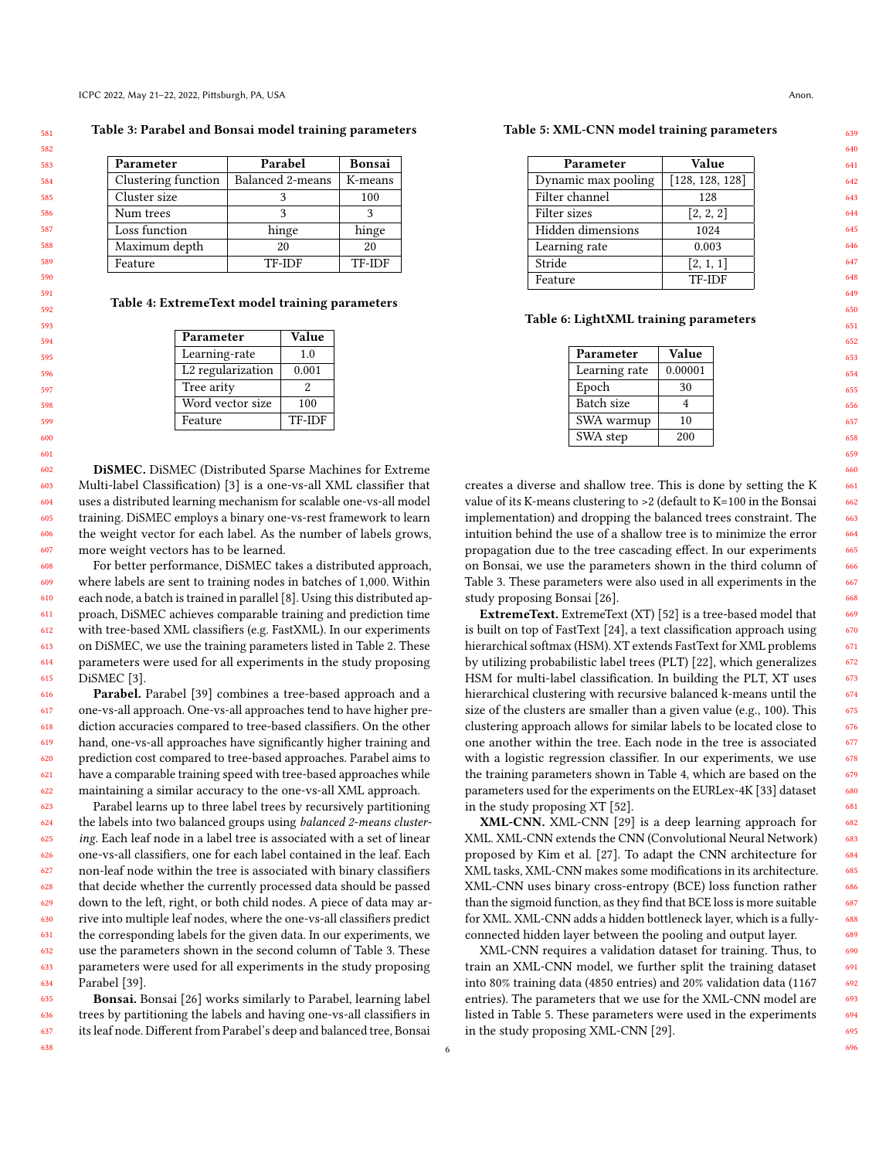<span id="page-5-0"></span>Table 3: Parabel and Bonsai model training parameters

| Parameter           | Parabel          | <b>Bonsai</b> |  |
|---------------------|------------------|---------------|--|
| Clustering function | Balanced 2-means | K-means       |  |
| Cluster size        |                  | 100           |  |
| Num trees           | 2                |               |  |
| Loss function       | hinge            | hinge         |  |
| Maximum depth       | 20               | 20            |  |
| Feature             | <b>TF-IDF</b>    | <b>TF-IDF</b> |  |

<span id="page-5-1"></span>Table 4: ExtremeText model training parameters

| Parameter         | Value         |
|-------------------|---------------|
| Learning-rate     | 1.0           |
| L2 regularization | 0.001         |
| Tree arity        | 2             |
| Word vector size  | 100           |
| Feature           | <b>TF-IDF</b> |

DiSMEC. DiSMEC (Distributed Sparse Machines for Extreme Multi-label Classification) [\[3\]](#page-10-9) is a one-vs-all XML classifier that uses a distributed learning mechanism for scalable one-vs-all model training. DiSMEC employs a binary one-vs-rest framework to learn the weight vector for each label. As the number of labels grows, more weight vectors has to be learned.

For better performance, DiSMEC takes a distributed approach, where labels are sent to training nodes in batches of 1,000. Within each node, a batch is trained in parallel [\[8\]](#page-10-23). Using this distributed approach, DiSMEC achieves comparable training and prediction time with tree-based XML classifiers (e.g. FastXML). In our experiments on DiSMEC, we use the training parameters listed in Table [2.](#page-4-3) These parameters were used for all experiments in the study proposing DiSMEC [\[3\]](#page-10-9).

Parabel. Parabel [\[39\]](#page-10-12) combines a tree-based approach and a one-vs-all approach. One-vs-all approaches tend to have higher prediction accuracies compared to tree-based classifiers. On the other hand, one-vs-all approaches have significantly higher training and prediction cost compared to tree-based approaches. Parabel aims to have a comparable training speed with tree-based approaches while maintaining a similar accuracy to the one-vs-all XML approach.

623 624 625 626 627 628 629 630 631 632 633 634 Parabel learns up to three label trees by recursively partitioning the labels into two balanced groups using balanced 2-means clustering. Each leaf node in a label tree is associated with a set of linear one-vs-all classifiers, one for each label contained in the leaf. Each non-leaf node within the tree is associated with binary classifiers that decide whether the currently processed data should be passed down to the left, right, or both child nodes. A piece of data may arrive into multiple leaf nodes, where the one-vs-all classifiers predict the corresponding labels for the given data. In our experiments, we use the parameters shown in the second column of Table [3.](#page-5-0) These parameters were used for all experiments in the study proposing Parabel [\[39\]](#page-10-12).

635 636 637 Bonsai. Bonsai [\[26\]](#page-10-11) works similarly to Parabel, learning label trees by partitioning the labels and having one-vs-all classifiers in its leaf node. Different from Parabel's deep and balanced tree, Bonsai

<span id="page-5-2"></span>Table 5: XML-CNN model training parameters

| Parameter           | Value           |  |  |  |
|---------------------|-----------------|--|--|--|
| Dynamic max pooling | [128, 128, 128] |  |  |  |
| Filter channel      | 128             |  |  |  |
| Filter sizes        | [2, 2, 2]       |  |  |  |
| Hidden dimensions   | 1024            |  |  |  |
| Learning rate       | 0.003           |  |  |  |
| Stride              | [2, 1, 1]       |  |  |  |
| Feature             | TF-IDF          |  |  |  |

#### <span id="page-5-3"></span>Table 6: LightXML training parameters

| Parameter     | Value   |  |  |  |
|---------------|---------|--|--|--|
| Learning rate | 0.00001 |  |  |  |
| Epoch         | 30      |  |  |  |
| Batch size    | 4       |  |  |  |
| SWA warmup    | 10      |  |  |  |
| SWA step      | 200     |  |  |  |

creates a diverse and shallow tree. This is done by setting the K value of its K-means clustering to >2 (default to K=100 in the Bonsai implementation) and dropping the balanced trees constraint. The intuition behind the use of a shallow tree is to minimize the error propagation due to the tree cascading effect. In our experiments on Bonsai, we use the parameters shown in the third column of Table [3.](#page-5-0) These parameters were also used in all experiments in the study proposing Bonsai [\[26\]](#page-10-11).

ExtremeText. ExtremeText (XT) [\[52\]](#page-11-5) is a tree-based model that is built on top of FastText [\[24\]](#page-10-24), a text classification approach using hierarchical softmax (HSM). XT extends FastText for XML problems by utilizing probabilistic label trees (PLT) [\[22\]](#page-10-25), which generalizes HSM for multi-label classification. In building the PLT, XT uses hierarchical clustering with recursive balanced k-means until the size of the clusters are smaller than a given value (e.g., 100). This clustering approach allows for similar labels to be located close to one another within the tree. Each node in the tree is associated with a logistic regression classifier. In our experiments, we use the training parameters shown in Table [4,](#page-5-1) which are based on the parameters used for the experiments on the EURLex-4K [\[33\]](#page-10-26) dataset in the study proposing XT [\[52\]](#page-11-5).

XML-CNN. XML-CNN [\[29\]](#page-10-14) is a deep learning approach for XML. XML-CNN extends the CNN (Convolutional Neural Network) proposed by Kim et al. [\[27\]](#page-10-27). To adapt the CNN architecture for XML tasks, XML-CNN makes some modifications in its architecture. XML-CNN uses binary cross-entropy (BCE) loss function rather than the sigmoid function, as they find that BCE loss is more suitable for XML. XML-CNN adds a hidden bottleneck layer, which is a fullyconnected hidden layer between the pooling and output layer.

XML-CNN requires a validation dataset for training. Thus, to train an XML-CNN model, we further split the training dataset into 80% training data (4850 entries) and 20% validation data (1167 entries). The parameters that we use for the XML-CNN model are listed in Table [5.](#page-5-2) These parameters were used in the experiments in the study proposing XML-CNN [\[29\]](#page-10-14).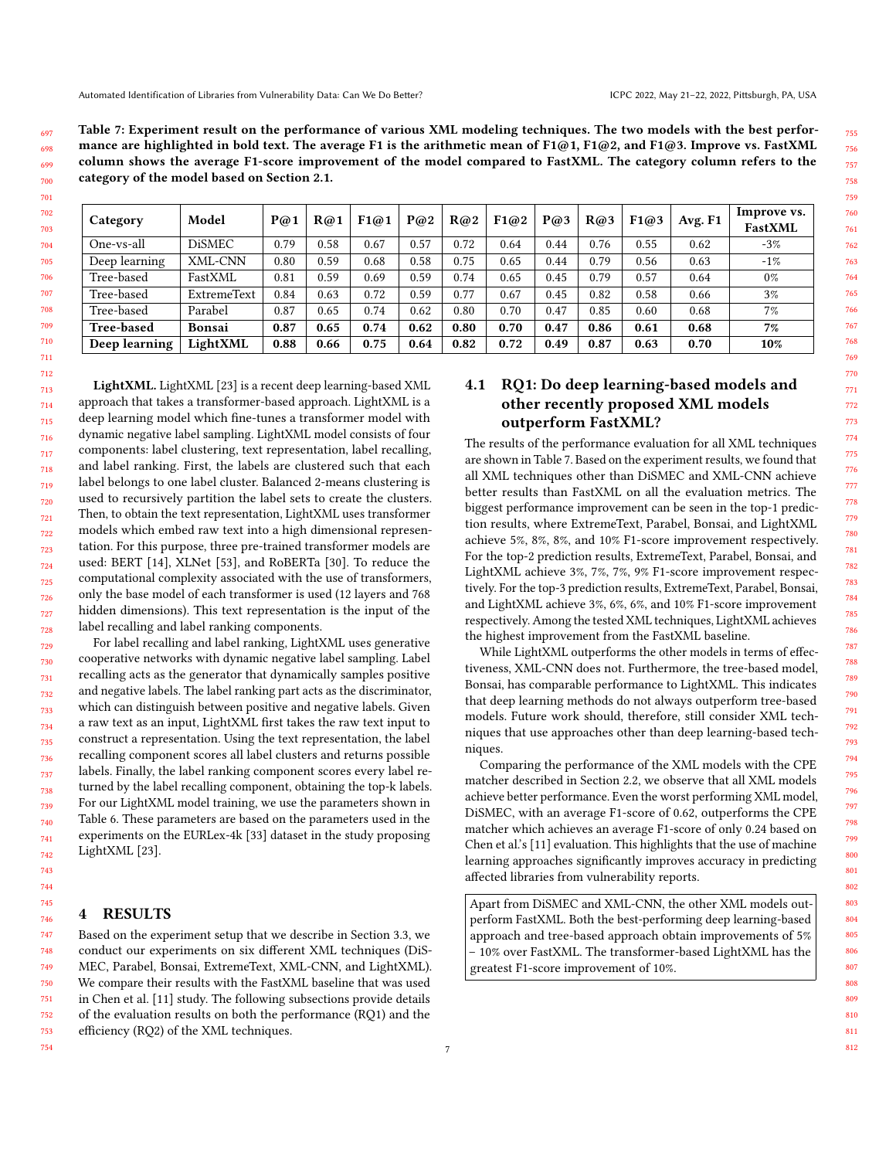<span id="page-6-1"></span>Table 7: Experiment result on the performance of various XML modeling techniques. The two models with the best performance are highlighted in bold text. The average F1 is the arithmetic mean of F1@1, F1@2, and F1@3. Improve vs. FastXML column shows the average F1-score improvement of the model compared to FastXML. The category column refers to the category of the model based on Section [2.1.](#page-2-1)

| Category          | Model              | P@1  | R@1  | F1@1 | P@2  | R@2  | F1@2 | P@3  | R@3  | F1@3 | Avg. F1 | Improve vs.<br><b>FastXML</b> |
|-------------------|--------------------|------|------|------|------|------|------|------|------|------|---------|-------------------------------|
| One-vs-all        | <b>DiSMEC</b>      | 0.79 | 0.58 | 0.67 | 0.57 | 0.72 | 0.64 | 0.44 | 0.76 | 0.55 | 0.62    | $-3%$                         |
| Deep learning     | XML-CNN            | 0.80 | 0.59 | 0.68 | 0.58 | 0.75 | 0.65 | 0.44 | 0.79 | 0.56 | 0.63    | $-1%$                         |
| Tree-based        | FastXML            | 0.81 | 0.59 | 0.69 | 0.59 | 0.74 | 0.65 | 0.45 | 0.79 | 0.57 | 0.64    | $0\%$                         |
| Tree-based        | <b>ExtremeText</b> | 0.84 | 0.63 | 0.72 | 0.59 | 0.77 | 0.67 | 0.45 | 0.82 | 0.58 | 0.66    | 3%                            |
| Tree-based        | Parabel            | 0.87 | 0.65 | 0.74 | 0.62 | 0.80 | 0.70 | 0.47 | 0.85 | 0.60 | 0.68    | 7%                            |
| <b>Tree-based</b> | Bonsai             | 0.87 | 0.65 | 0.74 | 0.62 | 0.80 | 0.70 | 0.47 | 0.86 | 0.61 | 0.68    | 7%                            |
| Deep learning     | LightXML           | 0.88 | 0.66 | 0.75 | 0.64 | 0.82 | 0.72 | 0.49 | 0.87 | 0.63 | 0.70    | 10%                           |

LightXML. LightXML [\[23\]](#page-10-13) is a recent deep learning-based XML approach that takes a transformer-based approach. LightXML is a deep learning model which fine-tunes a transformer model with dynamic negative label sampling. LightXML model consists of four components: label clustering, text representation, label recalling, and label ranking. First, the labels are clustered such that each label belongs to one label cluster. Balanced 2-means clustering is used to recursively partition the label sets to create the clusters. Then, to obtain the text representation, LightXML uses transformer models which embed raw text into a high dimensional representation. For this purpose, three pre-trained transformer models are used: BERT [\[14\]](#page-10-17), XLNet [\[53\]](#page-11-12), and RoBERTa [\[30\]](#page-10-28). To reduce the computational complexity associated with the use of transformers, only the base model of each transformer is used (12 layers and 768 hidden dimensions). This text representation is the input of the label recalling and label ranking components.

For label recalling and label ranking, LightXML uses generative cooperative networks with dynamic negative label sampling. Label recalling acts as the generator that dynamically samples positive and negative labels. The label ranking part acts as the discriminator, which can distinguish between positive and negative labels. Given a raw text as an input, LightXML first takes the raw text input to construct a representation. Using the text representation, the label recalling component scores all label clusters and returns possible labels. Finally, the label ranking component scores every label returned by the label recalling component, obtaining the top-k labels. For our LightXML model training, we use the parameters shown in Table [6.](#page-5-3) These parameters are based on the parameters used in the experiments on the EURLex-4k [\[33\]](#page-10-26) dataset in the study proposing LightXML [\[23\]](#page-10-13).

# <span id="page-6-0"></span>4 RESULTS

747 748 749 750 751 752 753 Based on the experiment setup that we describe in Section [3.3,](#page-4-4) we conduct our experiments on six different XML techniques (DiS-MEC, Parabel, Bonsai, ExtremeText, XML-CNN, and LightXML). We compare their results with the FastXML baseline that was used in Chen et al. [\[11\]](#page-10-7) study. The following subsections provide details of the evaluation results on both the performance (RQ1) and the efficiency (RQ2) of the XML techniques.

# 4.1 RQ1: Do deep learning-based models and other recently proposed XML models outperform FastXML?

The results of the performance evaluation for all XML techniques are shown in Table [7.](#page-6-1) Based on the experiment results, we found that all XML techniques other than DiSMEC and XML-CNN achieve better results than FastXML on all the evaluation metrics. The biggest performance improvement can be seen in the top-1 prediction results, where ExtremeText, Parabel, Bonsai, and LightXML achieve 5%, 8%, 8%, and 10% F1-score improvement respectively. For the top-2 prediction results, ExtremeText, Parabel, Bonsai, and LightXML achieve 3%, 7%, 7%, 9% F1-score improvement respectively. For the top-3 prediction results, ExtremeText, Parabel, Bonsai, and LightXML achieve 3%, 6%, 6%, and 10% F1-score improvement respectively. Among the tested XML techniques, LightXML achieves the highest improvement from the FastXML baseline.

While LightXML outperforms the other models in terms of effectiveness, XML-CNN does not. Furthermore, the tree-based model, Bonsai, has comparable performance to LightXML. This indicates that deep learning methods do not always outperform tree-based models. Future work should, therefore, still consider XML techniques that use approaches other than deep learning-based techniques.

Comparing the performance of the XML models with the CPE matcher described in Section [2.2,](#page-3-5) we observe that all XML models achieve better performance. Even the worst performing XML model, DiSMEC, with an average F1-score of 0.62, outperforms the CPE matcher which achieves an average F1-score of only 0.24 based on Chen et al.'s [\[11\]](#page-10-7) evaluation. This highlights that the use of machine learning approaches significantly improves accuracy in predicting affected libraries from vulnerability reports.

Apart from DiSMEC and XML-CNN, the other XML models outperform FastXML. Both the best-performing deep learning-based approach and tree-based approach obtain improvements of 5% – 10% over FastXML. The transformer-based LightXML has the greatest F1-score improvement of 10%.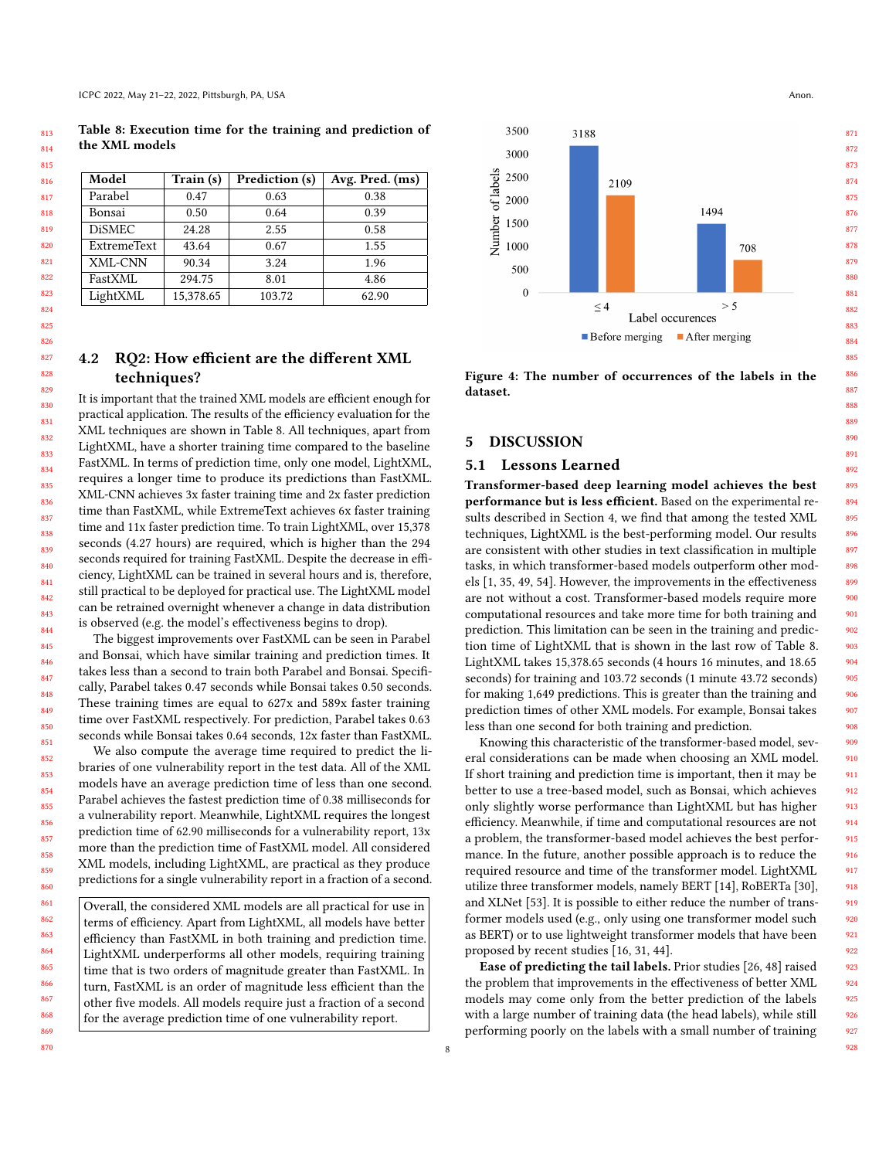<span id="page-7-1"></span>Table 8: Execution time for the training and prediction of the XML models

| Model              | Train (s) | Prediction (s) | Avg. Pred. (ms) |
|--------------------|-----------|----------------|-----------------|
| Parabel            | 0.47      | 0.63           | 0.38            |
| Bonsai             | 0.50      | 0.64           | 0.39            |
| <b>DiSMEC</b>      | 24.28     | 2.55           | 0.58            |
| <b>ExtremeText</b> | 43.64     | 0.67           | 1.55            |
| XML-CNN            | 90.34     | 3.24           | 1.96            |
| FastXML            | 294.75    | 8.01           | 4.86            |
| LightXML           | 15,378.65 | 103.72         | 62.90           |

# 4.2 RQ2: How efficient are the different XML techniques?

It is important that the trained XML models are efficient enough for practical application. The results of the efficiency evaluation for the XML techniques are shown in Table [8.](#page-7-1) All techniques, apart from LightXML, have a shorter training time compared to the baseline FastXML. In terms of prediction time, only one model, LightXML, requires a longer time to produce its predictions than FastXML. XML-CNN achieves 3x faster training time and 2x faster prediction time than FastXML, while ExtremeText achieves 6x faster training time and 11x faster prediction time. To train LightXML, over 15,378 seconds (4.27 hours) are required, which is higher than the 294 seconds required for training FastXML. Despite the decrease in efficiency, LightXML can be trained in several hours and is, therefore, still practical to be deployed for practical use. The LightXML model can be retrained overnight whenever a change in data distribution is observed (e.g. the model's effectiveness begins to drop).

The biggest improvements over FastXML can be seen in Parabel and Bonsai, which have similar training and prediction times. It takes less than a second to train both Parabel and Bonsai. Specifically, Parabel takes 0.47 seconds while Bonsai takes 0.50 seconds. These training times are equal to 627x and 589x faster training time over FastXML respectively. For prediction, Parabel takes 0.63 seconds while Bonsai takes 0.64 seconds, 12x faster than FastXML.

We also compute the average time required to predict the libraries of one vulnerability report in the test data. All of the XML models have an average prediction time of less than one second. Parabel achieves the fastest prediction time of 0.38 milliseconds for a vulnerability report. Meanwhile, LightXML requires the longest prediction time of 62.90 milliseconds for a vulnerability report, 13x more than the prediction time of FastXML model. All considered XML models, including LightXML, are practical as they produce predictions for a single vulnerability report in a fraction of a second.

Overall, the considered XML models are all practical for use in terms of efficiency. Apart from LightXML, all models have better efficiency than FastXML in both training and prediction time. LightXML underperforms all other models, requiring training time that is two orders of magnitude greater than FastXML. In turn, FastXML is an order of magnitude less efficient than the other five models. All models require just a fraction of a second for the average prediction time of one vulnerability report.

<span id="page-7-2"></span>

Figure 4: The number of occurrences of the labels in the dataset.

# <span id="page-7-0"></span>5 DISCUSSION

### 5.1 Lessons Learned

Transformer-based deep learning model achieves the best performance but is less efficient. Based on the experimental results described in Section [4,](#page-6-0) we find that among the tested XML techniques, LightXML is the best-performing model. Our results are consistent with other studies in text classification in multiple tasks, in which transformer-based models outperform other models [\[1,](#page-10-29) [35,](#page-10-30) [49,](#page-11-13) [54\]](#page-11-14). However, the improvements in the effectiveness are not without a cost. Transformer-based models require more computational resources and take more time for both training and prediction. This limitation can be seen in the training and prediction time of LightXML that is shown in the last row of Table [8.](#page-7-1) LightXML takes 15,378.65 seconds (4 hours 16 minutes, and 18.65 seconds) for training and 103.72 seconds (1 minute 43.72 seconds) for making 1,649 predictions. This is greater than the training and prediction times of other XML models. For example, Bonsai takes less than one second for both training and prediction.

Knowing this characteristic of the transformer-based model, several considerations can be made when choosing an XML model. If short training and prediction time is important, then it may be better to use a tree-based model, such as Bonsai, which achieves only slightly worse performance than LightXML but has higher efficiency. Meanwhile, if time and computational resources are not a problem, the transformer-based model achieves the best performance. In the future, another possible approach is to reduce the required resource and time of the transformer model. LightXML utilize three transformer models, namely BERT [\[14\]](#page-10-17), RoBERTa [\[30\]](#page-10-28), and XLNet [\[53\]](#page-11-12). It is possible to either reduce the number of transformer models used (e.g., only using one transformer model such as BERT) or to use lightweight transformer models that have been proposed by recent studies [\[16,](#page-10-31) [31,](#page-10-32) [44\]](#page-11-15).

Ease of predicting the tail labels. Prior studies [\[26,](#page-10-11) [48\]](#page-11-16) raised the problem that improvements in the effectiveness of better XML models may come only from the better prediction of the labels with a large number of training data (the head labels), while still performing poorly on the labels with a small number of training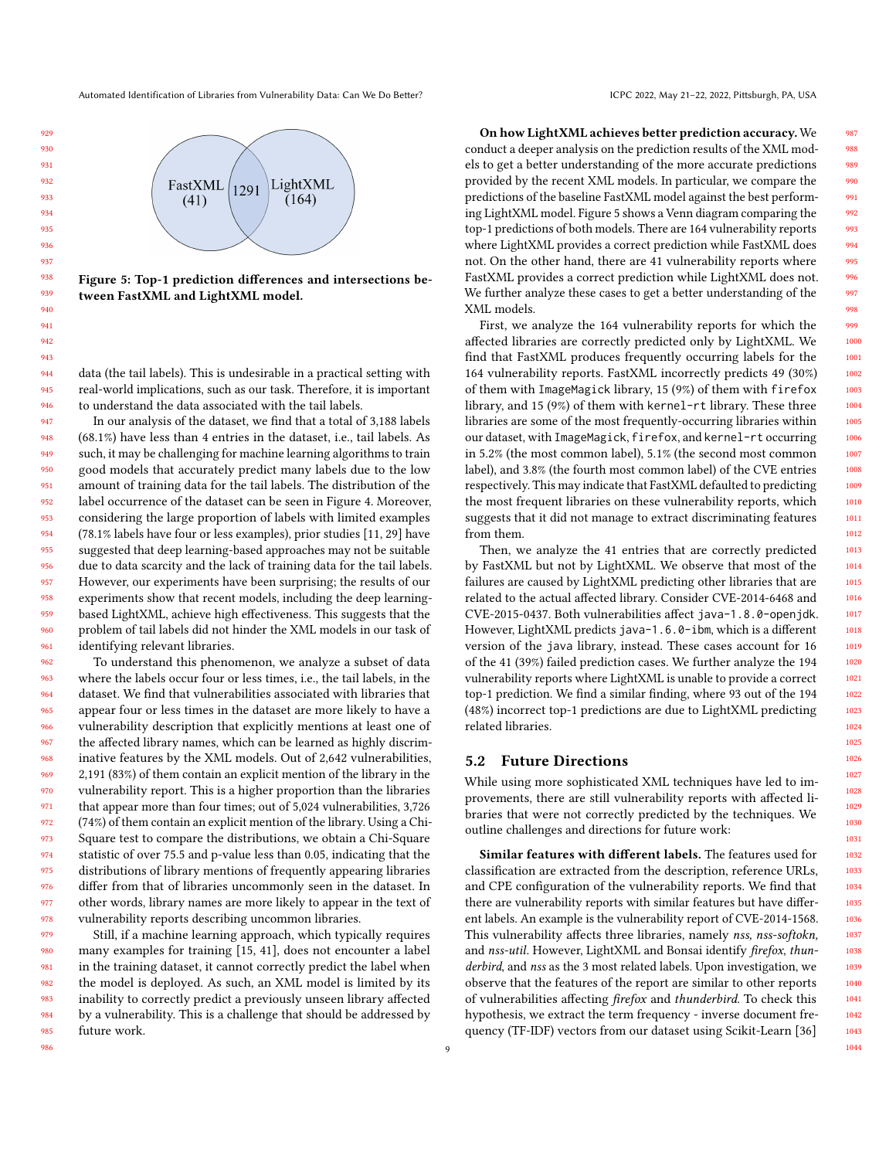<span id="page-8-0"></span>Automated Identification of Libraries from Vulnerability Data: Can We Do Better? ICPC 2022, May 21-22, 2022, Pittsburgh, PA, USA

# LightXML FastXML 1291  $(41)$  $(164)$

Figure 5: Top-1 prediction differences and intersections between FastXML and LightXML model.

data (the tail labels). This is undesirable in a practical setting with real-world implications, such as our task. Therefore, it is important to understand the data associated with the tail labels.

In our analysis of the dataset, we find that a total of 3,188 labels (68.1%) have less than 4 entries in the dataset, i.e., tail labels. As such, it may be challenging for machine learning algorithms to train good models that accurately predict many labels due to the low amount of training data for the tail labels. The distribution of the label occurrence of the dataset can be seen in Figure [4.](#page-7-2) Moreover, considering the large proportion of labels with limited examples (78.1% labels have four or less examples), prior studies [\[11,](#page-10-7) [29\]](#page-10-14) have suggested that deep learning-based approaches may not be suitable due to data scarcity and the lack of training data for the tail labels. However, our experiments have been surprising; the results of our experiments show that recent models, including the deep learningbased LightXML, achieve high effectiveness. This suggests that the problem of tail labels did not hinder the XML models in our task of identifying relevant libraries.

962 963 964 965 966 967 968 969 970 971 972 973 974 975 976 977 978 To understand this phenomenon, we analyze a subset of data where the labels occur four or less times, i.e., the tail labels, in the dataset. We find that vulnerabilities associated with libraries that appear four or less times in the dataset are more likely to have a vulnerability description that explicitly mentions at least one of the affected library names, which can be learned as highly discriminative features by the XML models. Out of 2,642 vulnerabilities, 2,191 (83%) of them contain an explicit mention of the library in the vulnerability report. This is a higher proportion than the libraries that appear more than four times; out of 5,024 vulnerabilities, 3,726 (74%) of them contain an explicit mention of the library. Using a Chi-Square test to compare the distributions, we obtain a Chi-Square statistic of over 75.5 and p-value less than 0.05, indicating that the distributions of library mentions of frequently appearing libraries differ from that of libraries uncommonly seen in the dataset. In other words, library names are more likely to appear in the text of vulnerability reports describing uncommon libraries.

979 980 981 982 983 984 985 Still, if a machine learning approach, which typically requires many examples for training [\[15,](#page-10-33) [41\]](#page-11-17), does not encounter a label in the training dataset, it cannot correctly predict the label when the model is deployed. As such, an XML model is limited by its inability to correctly predict a previously unseen library affected by a vulnerability. This is a challenge that should be addressed by future work.

On how LightXML achieves better prediction accuracy. We conduct a deeper analysis on the prediction results of the XML models to get a better understanding of the more accurate predictions provided by the recent XML models. In particular, we compare the predictions of the baseline FastXML model against the best performing LightXML model. Figure [5](#page-8-0) shows a Venn diagram comparing the top-1 predictions of both models. There are 164 vulnerability reports where LightXML provides a correct prediction while FastXML does not. On the other hand, there are 41 vulnerability reports where FastXML provides a correct prediction while LightXML does not. We further analyze these cases to get a better understanding of the XML models.

First, we analyze the 164 vulnerability reports for which the affected libraries are correctly predicted only by LightXML. We find that FastXML produces frequently occurring labels for the 164 vulnerability reports. FastXML incorrectly predicts 49 (30%) of them with ImageMagick library, 15 (9%) of them with firefox library, and 15 (9%) of them with kernel-rt library. These three libraries are some of the most frequently-occurring libraries within our dataset, with ImageMagick, firefox, and kernel-rt occurring in 5.2% (the most common label), 5.1% (the second most common label), and 3.8% (the fourth most common label) of the CVE entries respectively. This may indicate that FastXML defaulted to predicting the most frequent libraries on these vulnerability reports, which suggests that it did not manage to extract discriminating features from them.

Then, we analyze the 41 entries that are correctly predicted by FastXML but not by LightXML. We observe that most of the failures are caused by LightXML predicting other libraries that are related to the actual affected library. Consider CVE-2014-6468 and CVE-2015-0437. Both vulnerabilities affect java-1.8.0-openjdk. However, LightXML predicts java-1.6.0-ibm, which is a different version of the java library, instead. These cases account for 16 of the 41 (39%) failed prediction cases. We further analyze the 194 vulnerability reports where LightXML is unable to provide a correct top-1 prediction. We find a similar finding, where 93 out of the 194 (48%) incorrect top-1 predictions are due to LightXML predicting related libraries.

### 5.2 Future Directions

While using more sophisticated XML techniques have led to improvements, there are still vulnerability reports with affected libraries that were not correctly predicted by the techniques. We outline challenges and directions for future work:

Similar features with different labels. The features used for classification are extracted from the description, reference URLs, and CPE configuration of the vulnerability reports. We find that there are vulnerability reports with similar features but have different labels. An example is the vulnerability report of CVE-2014-1568. This vulnerability affects three libraries, namely nss, nss-softokn, and nss-util. However, LightXML and Bonsai identify firefox, thunderbird, and nss as the 3 most related labels. Upon investigation, we observe that the features of the report are similar to other reports of vulnerabilities affecting firefox and thunderbird. To check this hypothesis, we extract the term frequency - inverse document frequency (TF-IDF) vectors from our dataset using Scikit-Learn [\[36\]](#page-10-20)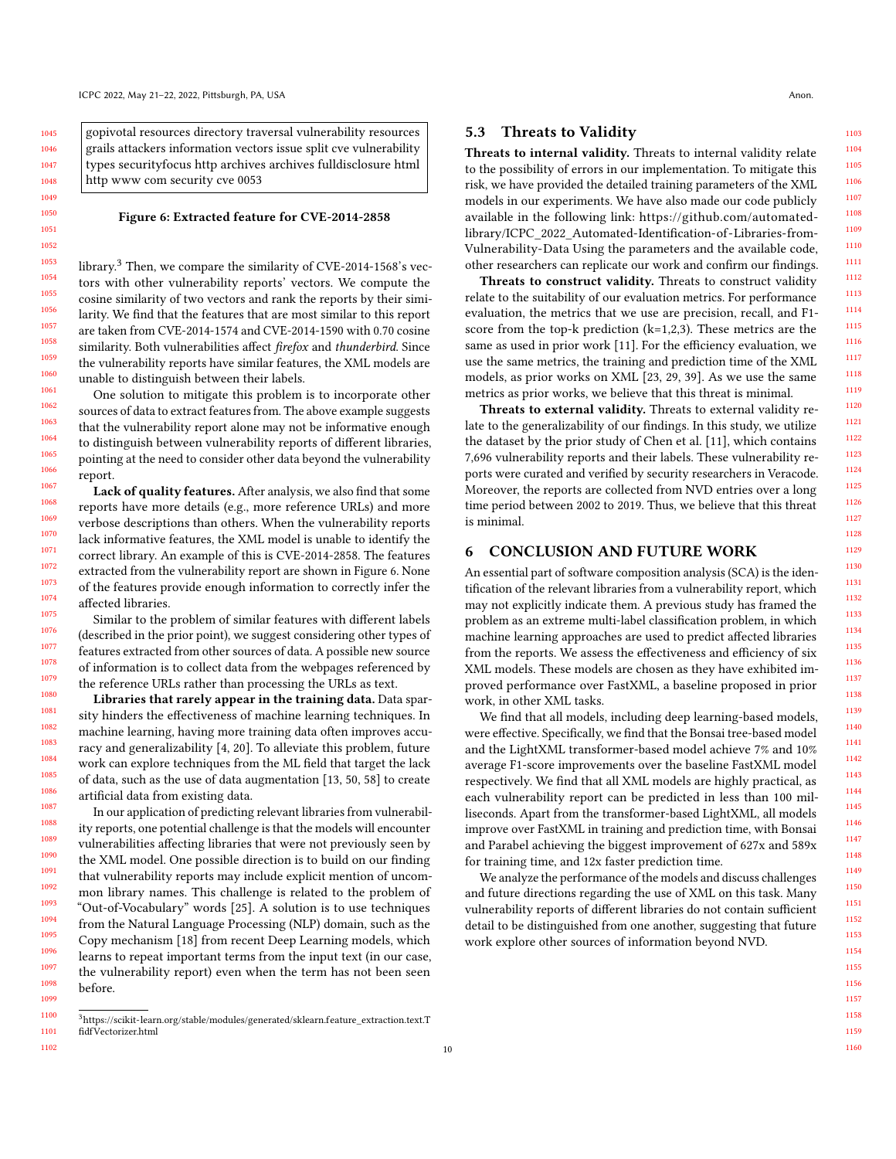<span id="page-9-2"></span>gopivotal resources directory traversal vulnerability resources grails attackers information vectors issue split cve vulnerability types securityfocus http archives archives fulldisclosure html http www com security cve 0053

### Figure 6: Extracted feature for CVE-2014-2858

library.[3](#page-9-1) Then, we compare the similarity of CVE-2014-1568's vectors with other vulnerability reports' vectors. We compute the cosine similarity of two vectors and rank the reports by their similarity. We find that the features that are most similar to this report are taken from CVE-2014-1574 and CVE-2014-1590 with 0.70 cosine similarity. Both vulnerabilities affect firefox and thunderbird. Since the vulnerability reports have similar features, the XML models are unable to distinguish between their labels.

One solution to mitigate this problem is to incorporate other sources of data to extract features from. The above example suggests that the vulnerability report alone may not be informative enough to distinguish between vulnerability reports of different libraries, pointing at the need to consider other data beyond the vulnerability report.

Lack of quality features. After analysis, we also find that some reports have more details (e.g., more reference URLs) and more verbose descriptions than others. When the vulnerability reports lack informative features, the XML model is unable to identify the correct library. An example of this is CVE-2014-2858. The features extracted from the vulnerability report are shown in Figure [6.](#page-9-2) None of the features provide enough information to correctly infer the affected libraries.

Similar to the problem of similar features with different labels (described in the prior point), we suggest considering other types of features extracted from other sources of data. A possible new source of information is to collect data from the webpages referenced by the reference URLs rather than processing the URLs as text.

Libraries that rarely appear in the training data. Data sparsity hinders the effectiveness of machine learning techniques. In machine learning, having more training data often improves accuracy and generalizability [\[4,](#page-10-34) [20\]](#page-10-35). To alleviate this problem, future work can explore techniques from the ML field that target the lack of data, such as the use of data augmentation [\[13,](#page-10-36) [50,](#page-11-18) [58\]](#page-11-19) to create artificial data from existing data.

In our application of predicting relevant libraries from vulnerability reports, one potential challenge is that the models will encounter vulnerabilities affecting libraries that were not previously seen by the XML model. One possible direction is to build on our finding that vulnerability reports may include explicit mention of uncommon library names. This challenge is related to the problem of "Out-of-Vocabulary" words [\[25\]](#page-10-37). A solution is to use techniques from the Natural Language Processing (NLP) domain, such as the Copy mechanism [\[18\]](#page-10-38) from recent Deep Learning models, which learns to repeat important terms from the input text (in our case, the vulnerability report) even when the term has not been seen before.

### 5.3 Threats to Validity

Threats to internal validity. Threats to internal validity relate to the possibility of errors in our implementation. To mitigate this risk, we have provided the detailed training parameters of the XML models in our experiments. We have also made our code publicly available in the following link: [https://github.com/automated](https://github.com/automated-library/ICPC_2022_Automated-Identification-of-Libraries-from-Vulnerability-Data)[library/ICPC\\_2022\\_Automated-Identification-of-Libraries-from-](https://github.com/automated-library/ICPC_2022_Automated-Identification-of-Libraries-from-Vulnerability-Data)[Vulnerability-Data](https://github.com/automated-library/ICPC_2022_Automated-Identification-of-Libraries-from-Vulnerability-Data) Using the parameters and the available code, other researchers can replicate our work and confirm our findings.

Threats to construct validity. Threats to construct validity relate to the suitability of our evaluation metrics. For performance evaluation, the metrics that we use are precision, recall, and F1 score from the top-k prediction (k=1,2,3). These metrics are the same as used in prior work [\[11\]](#page-10-7). For the efficiency evaluation, we use the same metrics, the training and prediction time of the XML models, as prior works on XML [\[23,](#page-10-13) [29,](#page-10-14) [39\]](#page-10-12). As we use the same metrics as prior works, we believe that this threat is minimal.

Threats to external validity. Threats to external validity relate to the generalizability of our findings. In this study, we utilize the dataset by the prior study of Chen et al. [\[11\]](#page-10-7), which contains 7,696 vulnerability reports and their labels. These vulnerability reports were curated and verified by security researchers in Veracode. Moreover, the reports are collected from NVD entries over a long time period between 2002 to 2019. Thus, we believe that this threat is minimal.

# <span id="page-9-0"></span>6 CONCLUSION AND FUTURE WORK

An essential part of software composition analysis (SCA) is the identification of the relevant libraries from a vulnerability report, which may not explicitly indicate them. A previous study has framed the problem as an extreme multi-label classification problem, in which machine learning approaches are used to predict affected libraries from the reports. We assess the effectiveness and efficiency of six XML models. These models are chosen as they have exhibited improved performance over FastXML, a baseline proposed in prior work, in other XML tasks.

We find that all models, including deep learning-based models, were effective. Specifically, we find that the Bonsai tree-based model and the LightXML transformer-based model achieve 7% and 10% average F1-score improvements over the baseline FastXML model respectively. We find that all XML models are highly practical, as each vulnerability report can be predicted in less than 100 milliseconds. Apart from the transformer-based LightXML, all models improve over FastXML in training and prediction time, with Bonsai and Parabel achieving the biggest improvement of 627x and 589x for training time, and 12x faster prediction time.

We analyze the performance of the models and discuss challenges and future directions regarding the use of XML on this task. Many vulnerability reports of different libraries do not contain sufficient detail to be distinguished from one another, suggesting that future work explore other sources of information beyond NVD.

<span id="page-9-1"></span><sup>1100</sup> 1101  $^3$ [https://scikit-learn.org/stable/modules/generated/sklearn.feature\\_extraction.text.T](https://scikit-learn.org/stable/modules/generated/sklearn.feature_extraction.text.TfidfVectorizer.html) [fidfVectorizer.html](https://scikit-learn.org/stable/modules/generated/sklearn.feature_extraction.text.TfidfVectorizer.html)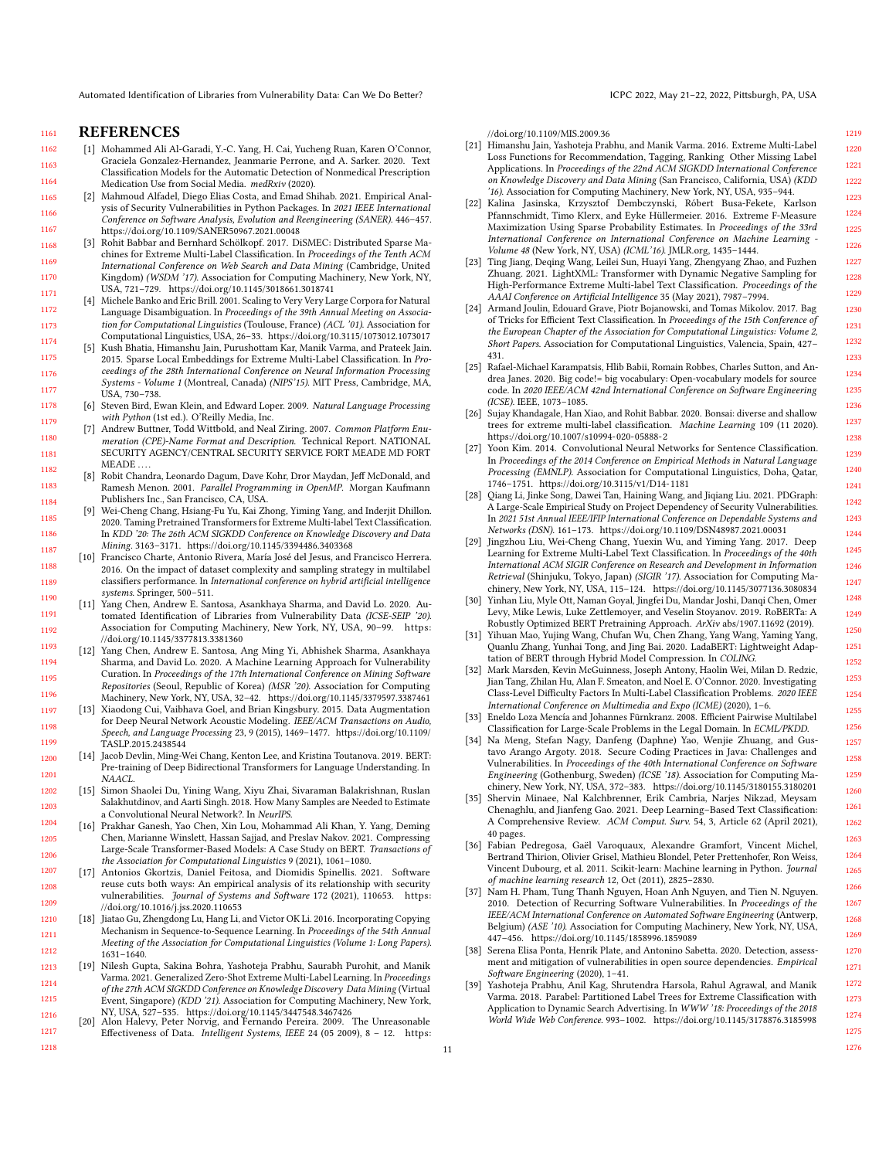Automated Identification of Libraries from Vulnerability Data: Can We Do Better? ICPC 2022, May 21-22, 2022, Pittsburgh, PA, USA

#### 1161 REFERENCES

<span id="page-10-19"></span>1178

<span id="page-10-17"></span>1200 1201

- <span id="page-10-29"></span>1162 1163 1164 [1] Mohammed Ali Al-Garadi, Y.-C. Yang, H. Cai, Yucheng Ruan, Karen O'Connor, Graciela Gonzalez-Hernandez, Jeanmarie Perrone, and A. Sarker. 2020. Text Classification Models for the Automatic Detection of Nonmedical Prescription Medication Use from Social Media. medRxiv (2020).
- <span id="page-10-0"></span>1165 1166 1167 [2] Mahmoud Alfadel, Diego Elias Costa, and Emad Shihab. 2021. Empirical Analysis of Security Vulnerabilities in Python Packages. In 2021 IEEE International Conference on Software Analysis, Evolution and Reengineering (SANER). 446–457. <https://doi.org/10.1109/SANER50967.2021.00048>
- <span id="page-10-9"></span>1168 1169 1170 1171 [3] Rohit Babbar and Bernhard Schölkopf. 2017. DiSMEC: Distributed Sparse Machines for Extreme Multi-Label Classification. In Proceedings of the Tenth ACM International Conference on Web Search and Data Mining (Cambridge, United Kingdom) (WSDM '17). Association for Computing Machinery, New York, NY, USA, 721–729.<https://doi.org/10.1145/3018661.3018741>
- <span id="page-10-34"></span>1172 1173 1174 [4] Michele Banko and Eric Brill. 2001. Scaling to Very Very Large Corpora for Natural Language Disambiguation. In Proceedings of the 39th Annual Meeting on Association for Computational Linguistics (Toulouse, France) (ACL '01). Association for Computational Linguistics, USA, 26–33.<https://doi.org/10.3115/1073012.1073017>
- <span id="page-10-15"></span>1175 1176 1177 [5] Kush Bhatia, Himanshu Jain, Purushottam Kar, Manik Varma, and Prateek Jain. 2015. Sparse Local Embeddings for Extreme Multi-Label Classification. In Proceedings of the 28th International Conference on Neural Information Processing Systems - Volume 1 (Montreal, Canada) (NIPS'15). MIT Press, Cambridge, MA, USA, 730–738.
	- [6] Steven Bird, Ewan Klein, and Edward Loper. 2009. Natural Language Processing with Python (1st ed.). O'Reilly Media, Inc.
- <span id="page-10-21"></span>1179 1180 1181 1182 [7] Andrew Buttner, Todd Wittbold, and Neal Ziring. 2007. Common Platform Enumeration (CPE)-Name Format and Description. Technical Report. NATIONAL SECURITY AGENCY/CENTRAL SECURITY SERVICE FORT MEADE MD FORT MEADE ...
- <span id="page-10-23"></span>1183 1184 [8] Robit Chandra, Leonardo Dagum, Dave Kohr, Dror Maydan, Jeff McDonald, and Ramesh Menon. 2001. Parallel Programming in OpenMP. Morgan Kaufmann Publishers Inc., San Francisco, CA, USA.
- <span id="page-10-16"></span>1185 1186 1187 [9] Wei-Cheng Chang, Hsiang-Fu Yu, Kai Zhong, Yiming Yang, and Inderjit Dhillon. 2020. Taming Pretrained Transformers for Extreme Multi-label Text Classification. In KDD '20: The 26th ACM SIGKDD Conference on Knowledge Discovery and Data Mining. 3163–3171.<https://doi.org/10.1145/3394486.3403368>
- <span id="page-10-22"></span>1188 1189 1190 [10] Francisco Charte, Antonio Rivera, María José del Jesus, and Francisco Herrera. 2016. On the impact of dataset complexity and sampling strategy in multilabel classifiers performance. In International conference on hybrid artificial intelligence systems. Springer, 500–511.
- <span id="page-10-7"></span>1191 1192 [11] Yang Chen, Andrew E. Santosa, Asankhaya Sharma, and David Lo. 2020. Automated Identification of Libraries from Vulnerability Data (ICSE-SEIP '20). Association for Computing Machinery, New York, NY, USA, 90–99. [https:](https://doi.org/10.1145/3377813.3381360) [//doi.org/10.1145/3377813.3381360](https://doi.org/10.1145/3377813.3381360)
- <span id="page-10-1"></span>1193 1194 1195 1196 [12] Yang Chen, Andrew E. Santosa, Ang Ming Yi, Abhishek Sharma, Asankhaya Sharma, and David Lo. 2020. A Machine Learning Approach for Vulnerability Curation. In Proceedings of the 17th International Conference on Mining Software Repositories (Seoul, Republic of Korea) (MSR '20). Association for Computing Machinery, New York, NY, USA, 32–42.<https://doi.org/10.1145/3379597.3387461>
- <span id="page-10-36"></span>1197 1198 1199 [13] Xiaodong Cui, Vaibhava Goel, and Brian Kingsbury. 2015. Data Augmentation for Deep Neural Network Acoustic Modeling. IEEE/ACM Transactions on Audio, Speech, and Language Processing 23, 9 (2015), 1469–1477. [https://doi.org/10.1109/](https://doi.org/10.1109/TASLP.2015.2438544) [TASLP.2015.2438544](https://doi.org/10.1109/TASLP.2015.2438544)
	- [14] Jacob Devlin, Ming-Wei Chang, Kenton Lee, and Kristina Toutanova. 2019. BERT: Pre-training of Deep Bidirectional Transformers for Language Understanding. In NAACL.
- <span id="page-10-33"></span>1202 1203 1204 [15] Simon Shaolei Du, Yining Wang, Xiyu Zhai, Sivaraman Balakrishnan, Ruslan Salakhutdinov, and Aarti Singh. 2018. How Many Samples are Needed to Estimate a Convolutional Neural Network?. In NeurIPS.
- <span id="page-10-31"></span>1205 1206 [16] Prakhar Ganesh, Yao Chen, Xin Lou, Mohammad Ali Khan, Y. Yang, Deming Chen, Marianne Winslett, Hassan Sajjad, and Preslav Nakov. 2021. Compressing Large-Scale Transformer-Based Models: A Case Study on BERT. Transactions of the Association for Computational Linguistics 9 (2021), 1061–1080.
- <span id="page-10-2"></span>1207 1208 1209 [17] Antonios Gkortzis, Daniel Feitosa, and Diomidis Spinellis. 2021. Software reuse cuts both ways: An empirical analysis of its relationship with security vulnerabilities. Journal of Systems and Software 172 (2021), 110653. [https:](https://doi.org/10.1016/j.jss.2020.110653) [//doi.org/10.1016/j.jss.2020.110653](https://doi.org/10.1016/j.jss.2020.110653)
- <span id="page-10-38"></span>1210 1211 1212 [18] Jiatao Gu, Zhengdong Lu, Hang Li, and Victor OK Li. 2016. Incorporating Copying Mechanism in Sequence-to-Sequence Learning. In Proceedings of the 54th Annual Meeting of the Association for Computational Linguistics (Volume 1: Long Papers). 1631–1640.
- <span id="page-10-8"></span>1213 1214 1215 1216 [19] Nilesh Gupta, Sakina Bohra, Yashoteja Prabhu, Saurabh Purohit, and Manik Varma. 2021. Generalized Zero-Shot Extreme Multi-Label Learning. In Proceedings of the 27th ACM SIGKDD Conference on Knowledge Discovery Data Mining (Virtual Event, Singapore) (KDD '21). Association for Computing Machinery, New York, NY, USA, 527–535.<https://doi.org/10.1145/3447548.3467426> [20] Alon Halevy, Peter Norvig, and Fernando Pereira. 2009. The Unreasonable
- <span id="page-10-35"></span>1217 1218 Effectiveness of Data. Intelligent Systems, IEEE 24 (05 2009), 8 – 12. [https:](https://doi.org/10.1109/MIS.2009.36)

[//doi.org/10.1109/MIS.2009.36](https://doi.org/10.1109/MIS.2009.36)

- <span id="page-10-10"></span>[21] Himanshu Jain, Yashoteja Prabhu, and Manik Varma. 2016. Extreme Multi-Label Loss Functions for Recommendation, Tagging, Ranking Other Missing Label Applications. In Proceedings of the 22nd ACM SIGKDD International Conference on Knowledge Discovery and Data Mining (San Francisco, California, USA) (KDD '16). Association for Computing Machinery, New York, NY, USA, 935–944.
- <span id="page-10-25"></span>[22] Kalina Jasinska, Krzysztof Dembczynski, Róbert Busa-Fekete, Karlson Pfannschmidt, Timo Klerx, and Eyke Hüllermeier. 2016. Extreme F-Measure Maximization Using Sparse Probability Estimates. In Proceedings of the 33rd International Conference on International Conference on Machine Learning - Volume 48 (New York, NY, USA) (ICML'16). JMLR.org, 1435–1444.
- <span id="page-10-13"></span>[23] Ting Jiang, Deqing Wang, Leilei Sun, Huayi Yang, Zhengyang Zhao, and Fuzhen Zhuang. 2021. LightXML: Transformer with Dynamic Negative Sampling for High-Performance Extreme Multi-label Text Classification. Proceedings of the AAAI Conference on Artificial Intelligence 35 (May 2021), 7987–7994.
- <span id="page-10-24"></span>[24] Armand Joulin, Edouard Grave, Piotr Bojanowski, and Tomas Mikolov. 2017. Bag of Tricks for Efficient Text Classification. In Proceedings of the 15th Conference of the European Chapter of the Association for Computational Linguistics: Volume 2, Short Papers. Association for Computational Linguistics, Valencia, Spain, 427– 431.
- <span id="page-10-37"></span>[25] Rafael-Michael Karampatsis, Hlib Babii, Romain Robbes, Charles Sutton, and Andrea Janes. 2020. Big code!= big vocabulary: Open-vocabulary models for source code. In 2020 IEEE/ACM 42nd International Conference on Software Engineering (ICSE). IEEE, 1073–1085.
- <span id="page-10-11"></span>[26] Sujay Khandagale, Han Xiao, and Rohit Babbar. 2020. Bonsai: diverse and shallow trees for extreme multi-label classification. Machine Learning 109 (11 2020). <https://doi.org/10.1007/s10994-020-05888-2>
- <span id="page-10-27"></span>[27] Yoon Kim. 2014. Convolutional Neural Networks for Sentence Classification. In Proceedings of the 2014 Conference on Empirical Methods in Natural Language Processing (EMNLP). Association for Computational Linguistics, Doha, Qatar, 1746–1751.<https://doi.org/10.3115/v1/D14-1181>
- <span id="page-10-3"></span>[28] Qiang Li, Jinke Song, Dawei Tan, Haining Wang, and Jiqiang Liu. 2021. PDGraph: A Large-Scale Empirical Study on Project Dependency of Security Vulnerabilities. In 2021 51st Annual IEEE/IFIP International Conference on Dependable Systems and Networks (DSN). 161–173.<https://doi.org/10.1109/DSN48987.2021.00031>
- <span id="page-10-14"></span>[29] Jingzhou Liu, Wei-Cheng Chang, Yuexin Wu, and Yiming Yang. 2017. Deep Learning for Extreme Multi-Label Text Classification. In Proceedings of the 40th International ACM SIGIR Conference on Research and Development in Information Retrieval (Shinjuku, Tokyo, Japan) (SIGIR '17). Association for Computing Machinery, New York, NY, USA, 115–124.<https://doi.org/10.1145/3077136.3080834>
- <span id="page-10-28"></span>[30] Yinhan Liu, Myle Ott, Naman Goyal, Jingfei Du, Mandar Joshi, Danqi Chen, Omer Levy, Mike Lewis, Luke Zettlemoyer, and Veselin Stoyanov. 2019. RoBERTa: A Robustly Optimized BERT Pretraining Approach. ArXiv abs/1907.11692 (2019).
- <span id="page-10-32"></span>[31] Yihuan Mao, Yujing Wang, Chufan Wu, Chen Zhang, Yang Wang, Yaming Yang, Quanlu Zhang, Yunhai Tong, and Jing Bai. 2020. LadaBERT: Lightweight Adaptation of BERT through Hybrid Model Compression. In COLING.
- <span id="page-10-18"></span>[32] Mark Marsden, Kevin McGuinness, Joseph Antony, Haolin Wei, Milan D. Redzic, Jian Tang, Zhilan Hu, Alan F. Smeaton, and Noel E. O'Connor. 2020. Investigating Class-Level Difficulty Factors In Multi-Label Classification Problems. 2020 IEEE International Conference on Multimedia and Expo (ICME) (2020), 1–6.
- <span id="page-10-26"></span>[33] Eneldo Loza Mencía and Johannes Fürnkranz. 2008. Efficient Pairwise Multilabel Classification for Large-Scale Problems in the Legal Domain. In ECML/PKDD.
- <span id="page-10-4"></span>[34] Na Meng, Stefan Nagy, Danfeng (Daphne) Yao, Wenjie Zhuang, and Gustavo Arango Argoty. 2018. Secure Coding Practices in Java: Challenges and Vulnerabilities. In Proceedings of the 40th International Conference on Software Engineering (Gothenburg, Sweden) (ICSE '18). Association for Computing Machinery, New York, NY, USA, 372–383.<https://doi.org/10.1145/3180155.3180201>
- <span id="page-10-30"></span>[35] Shervin Minaee, Nal Kalchbrenner, Erik Cambria, Narjes Nikzad, Meysam Chenaghlu, and Jianfeng Gao. 2021. Deep Learning–Based Text Classification: A Comprehensive Review. ACM Comput. Surv. 54, 3, Article 62 (April 2021), 40 pages.
- <span id="page-10-20"></span>[36] Fabian Pedregosa, Gaël Varoquaux, Alexandre Gramfort, Vincent Michel, Bertrand Thirion, Olivier Grisel, Mathieu Blondel, Peter Prettenhofer, Ron Weiss, Vincent Dubourg, et al. 2011. Scikit-learn: Machine learning in Python. Journal of machine learning research 12, Oct (2011), 2825–2830.
- <span id="page-10-5"></span>Nam H. Pham, Tung Thanh Nguyen, Hoan Anh Nguyen, and Tien N. Nguyen. 2010. Detection of Recurring Software Vulnerabilities. In Proceedings of the IEEE/ACM International Conference on Automated Software Engineering (Antwerp, Belgium) (ASE '10). Association for Computing Machinery, New York, NY, USA, 447–456.<https://doi.org/10.1145/1858996.1859089>
- <span id="page-10-6"></span>[38] Serena Elisa Ponta, Henrik Plate, and Antonino Sabetta. 2020. Detection, assessment and mitigation of vulnerabilities in open source dependencies. Empirical Software Engineering (2020), 1–41.
- <span id="page-10-12"></span>[39] Yashoteja Prabhu, Anil Kag, Shrutendra Harsola, Rahul Agrawal, and Manik Varma. 2018. Parabel: Partitioned Label Trees for Extreme Classification with Application to Dynamic Search Advertising. In WWW '18: Proceedings of the 2018 World Wide Web Conference. 993–1002.<https://doi.org/10.1145/3178876.3185998>

11